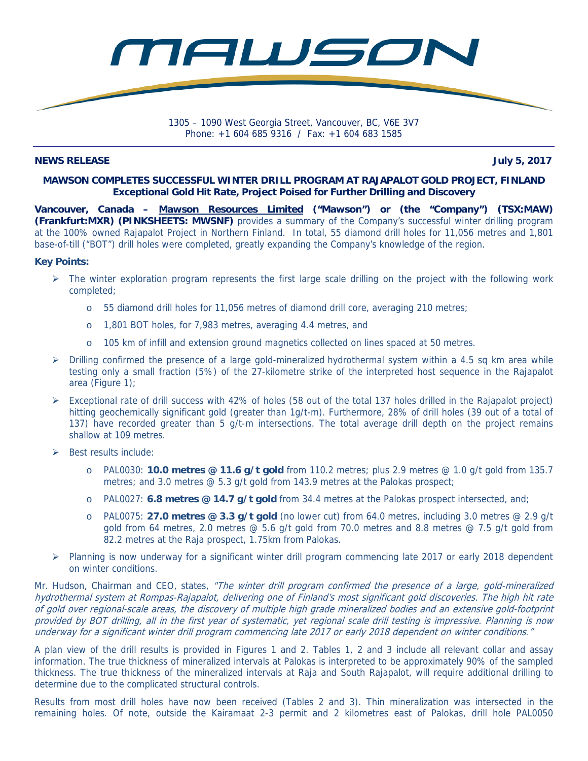

Phone: +1 604 685 9316 / Fax: +1 604 683 1585

## **NEWS RELEASE July 5, 2017**

# **MAWSON COMPLETES SUCCESSFUL WINTER DRILL PROGRAM AT RAJAPALOT GOLD PROJECT, FINLAND Exceptional Gold Hit Rate, Project Poised for Further Drilling and Discovery**

**Vancouver, Canada – Mawson Resources Limited ("Mawson") or (the "Company") (TSX:MAW) (Frankfurt:MXR) (PINKSHEETS: MWSNF)** provides a summary of the Company's successful winter drilling program at the 100% owned Rajapalot Project in Northern Finland. In total, 55 diamond drill holes for 11,056 metres and 1,801 base-of-till ("BOT") drill holes were completed, greatly expanding the Company's knowledge of the region.

# **Key Points:**

- $\triangleright$  The winter exploration program represents the first large scale drilling on the project with the following work completed;
	- o 55 diamond drill holes for 11,056 metres of diamond drill core, averaging 210 metres;
	- o 1,801 BOT holes, for 7,983 metres, averaging 4.4 metres, and
	- o 105 km of infill and extension ground magnetics collected on lines spaced at 50 metres.
- $\triangleright$  Drilling confirmed the presence of a large gold-mineralized hydrothermal system within a 4.5 sq km area while testing only a small fraction (5%) of the 27-kilometre strike of the interpreted host sequence in the Rajapalot area (Figure 1);
- Exceptional rate of drill success with 42% of holes (58 out of the total 137 holes drilled in the Rajapalot project) hitting geochemically significant gold (greater than 1g/t-m). Furthermore, 28% of drill holes (39 out of a total of 137) have recorded greater than 5 g/t-m intersections. The total average drill depth on the project remains shallow at 109 metres.
- $\triangleright$  Best results include:
	- o PAL0030: **10.0 metres @ 11.6 g/t gold** from 110.2 metres; plus 2.9 metres @ 1.0 g/t gold from 135.7 metres; and 3.0 metres @ 5.3 g/t gold from 143.9 metres at the Palokas prospect;
	- o PAL0027: **6.8 metres @ 14.7 g/t gold** from 34.4 metres at the Palokas prospect intersected, and;
	- o PAL0075: **27.0 metres @ 3.3 g/t gold** (no lower cut) from 64.0 metres, including 3.0 metres @ 2.9 g/t gold from 64 metres, 2.0 metres  $\emptyset$  5.6 g/t gold from 70.0 metres and 8.8 metres  $\emptyset$  7.5 g/t gold from 82.2 metres at the Raja prospect, 1.75km from Palokas.
- $\triangleright$  Planning is now underway for a significant winter drill program commencing late 2017 or early 2018 dependent on winter conditions.

Mr. Hudson, Chairman and CEO, states, "The winter drill program confirmed the presence of a large, gold-mineralized hydrothermal system at Rompas-Rajapalot, delivering one of Finland's most significant gold discoveries. The high hit rate of gold over regional-scale areas, the discovery of multiple high grade mineralized bodies and an extensive gold-footprint provided by BOT drilling, all in the first year of systematic, yet regional scale drill testing is impressive. Planning is now underway for a significant winter drill program commencing late 2017 or early 2018 dependent on winter conditions."

A plan view of the drill results is provided in Figures 1 and 2. Tables 1, 2 and 3 include all relevant collar and assay information. The true thickness of mineralized intervals at Palokas is interpreted to be approximately 90% of the sampled thickness. The true thickness of the mineralized intervals at Raja and South Rajapalot, will require additional drilling to determine due to the complicated structural controls.

Results from most drill holes have now been received (Tables 2 and 3). Thin mineralization was intersected in the remaining holes. Of note, outside the Kairamaat 2-3 permit and 2 kilometres east of Palokas, drill hole PAL0050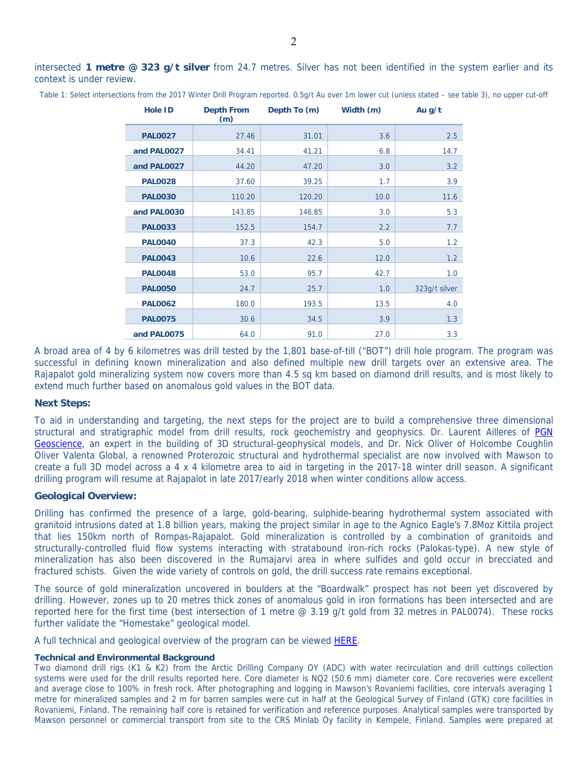intersected **1 metre @ 323 g/t silver** from 24.7 metres. Silver has not been identified in the system earlier and its context is under review.

Table 1: Select intersections from the 2017 Winter Drill Program reported. 0.5g/t Au over 1m lower cut (unless stated – see table 3), no upper cut-off

| <b>Hole ID</b> | <b>Depth From</b><br>(m) | Depth To (m) | Width (m) | Au g/t        |
|----------------|--------------------------|--------------|-----------|---------------|
| <b>PAL0027</b> | 27.46                    | 31.01        | 3.6       | 2.5           |
| and PAL0027    | 34.41                    | 41.21        | 6.8       | 14.7          |
| and PAL0027    | 44.20                    | 47.20        | 3.0       | 3.2           |
| <b>PAL0028</b> | 37.60                    | 39.25        | 1.7       | 3.9           |
| <b>PAL0030</b> | 110.20                   | 120.20       | 10.0      | 11.6          |
| and PAL0030    | 143.85                   | 146.85       | 3.0       | 5.3           |
| <b>PAL0033</b> | 152.5                    | 154.7        | 2.2       | 7.7           |
| <b>PAL0040</b> | 37.3                     | 42.3         | 5.0       | 1.2           |
| <b>PAL0043</b> | 10.6                     | 22.6         | 12.0      | 1.2           |
| <b>PAL0048</b> | 53.0                     | 95.7         | 42.7      | 1.0           |
| <b>PAL0050</b> | 24.7                     | 25.7         | 1.0       | 323q/t silver |
| <b>PAL0062</b> | 180.0                    | 193.5        | 13.5      | 4.0           |
| <b>PAL0075</b> | 30.6                     | 34.5         | 3.9       | 1.3           |
| and PAL0075    | 64.0                     | 91.0         | 27.0      | 3.3           |

A broad area of 4 by 6 kilometres was drill tested by the 1,801 base-of-till ("BOT") drill hole program. The program was successful in defining known mineralization and also defined multiple new drill targets over an extensive area. The Rajapalot gold mineralizing system now covers more than 4.5 sq km based on diamond drill results, and is most likely to extend much further based on anomalous gold values in the BOT data.

## **Next Steps:**

To aid in understanding and targeting, the next steps for the project are to build a comprehensive three dimensional structural and stratigraphic model from drill results, rock geochemistry and geophysics. Dr. Laurent Ailleres of PGN Geoscience, an expert in the building of 3D structural-geophysical models, and Dr. Nick Oliver of Holcombe Coughlin Oliver Valenta Global, a renowned Proterozoic structural and hydrothermal specialist are now involved with Mawson to create a full 3D model across a 4 x 4 kilometre area to aid in targeting in the 2017-18 winter drill season. A significant drilling program will resume at Rajapalot in late 2017/early 2018 when winter conditions allow access.

## **Geological Overview:**

Drilling has confirmed the presence of a large, gold-bearing, sulphide-bearing hydrothermal system associated with granitoid intrusions dated at 1.8 billion years, making the project similar in age to the Agnico Eagle's 7.8Moz Kittila project that lies 150km north of Rompas-Rajapalot. Gold mineralization is controlled by a combination of granitoids and structurally-controlled fluid flow systems interacting with stratabound iron-rich rocks (Palokas-type). A new style of mineralization has also been discovered in the Rumajarvi area in where sulfides and gold occur in brecciated and fractured schists. Given the wide variety of controls on gold, the drill success rate remains exceptional.

The source of gold mineralization uncovered in boulders at the "Boardwalk" prospect has not been yet discovered by drilling. However, zones up to 20 metres thick zones of anomalous gold in iron formations has been intersected and are reported here for the first time (best intersection of 1 metre @ 3.19 g/t gold from 32 metres in PAL0074). These rocks further validate the "Homestake" geological model.

A full technical and geological overview of the program can be viewed HERE.

### **Technical and Environmental Background**

Two diamond drill rigs (K1 & K2) from the Arctic Drilling Company OY (ADC) with water recirculation and drill cuttings collection systems were used for the drill results reported here. Core diameter is NQ2 (50.6 mm) diameter core. Core recoveries were excellent and average close to 100% in fresh rock. After photographing and logging in Mawson's Rovaniemi facilities, core intervals averaging 1 metre for mineralized samples and 2 m for barren samples were cut in half at the Geological Survey of Finland (GTK) core facilities in Rovaniemi, Finland. The remaining half core is retained for verification and reference purposes. Analytical samples were transported by Mawson personnel or commercial transport from site to the CRS Minlab Oy facility in Kempele, Finland. Samples were prepared at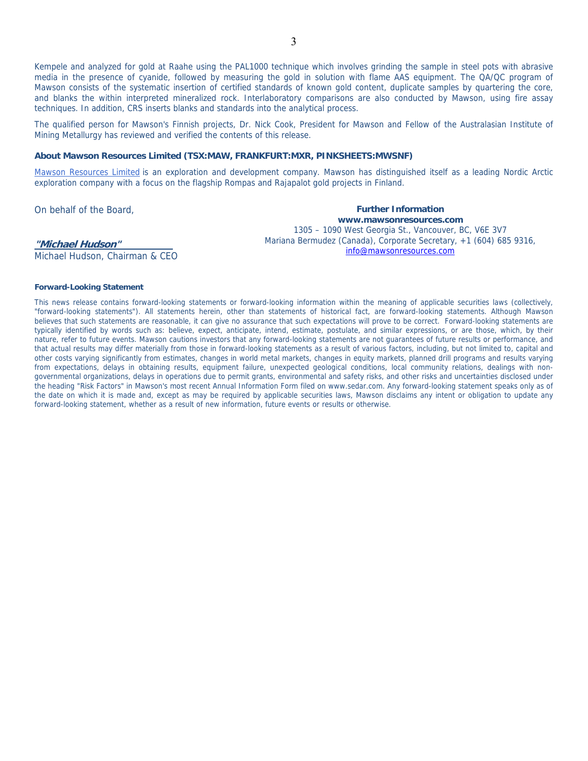Kempele and analyzed for gold at Raahe using the PAL1000 technique which involves grinding the sample in steel pots with abrasive media in the presence of cyanide, followed by measuring the gold in solution with flame AAS equipment. The QA/QC program of Mawson consists of the systematic insertion of certified standards of known gold content, duplicate samples by quartering the core, and blanks the within interpreted mineralized rock. Interlaboratory comparisons are also conducted by Mawson, using fire assay techniques. In addition, CRS inserts blanks and standards into the analytical process.

The qualified person for Mawson's Finnish projects, Dr. Nick Cook, President for Mawson and Fellow of the Australasian Institute of Mining Metallurgy has reviewed and verified the contents of this release.

#### **About Mawson Resources Limited (TSX:MAW, FRANKFURT:MXR, PINKSHEETS:MWSNF)**

Mawson Resources Limited is an exploration and development company. Mawson has distinguished itself as a leading Nordic Arctic exploration company with a focus on the flagship Rompas and Rajapalot gold projects in Finland.

On behalf of the Board,

**Further Information www.mawsonresources.com**  1305 – 1090 West Georgia St., Vancouver, BC, V6E 3V7 Mariana Bermudez (Canada), Corporate Secretary, +1 (604) 685 9316, info@mawsonresources.com

**"Michael Hudson"** Michael Hudson, Chairman & CEO

#### **Forward-Looking Statement**

This news release contains forward-looking statements or forward-looking information within the meaning of applicable securities laws (collectively, "forward-looking statements"). All statements herein, other than statements of historical fact, are forward-looking statements. Although Mawson believes that such statements are reasonable, it can give no assurance that such expectations will prove to be correct. Forward-looking statements are typically identified by words such as: believe, expect, anticipate, intend, estimate, postulate, and similar expressions, or are those, which, by their nature, refer to future events. Mawson cautions investors that any forward-looking statements are not guarantees of future results or performance, and that actual results may differ materially from those in forward-looking statements as a result of various factors, including, but not limited to, capital and other costs varying significantly from estimates, changes in world metal markets, changes in equity markets, planned drill programs and results varying from expectations, delays in obtaining results, equipment failure, unexpected geological conditions, local community relations, dealings with nongovernmental organizations, delays in operations due to permit grants, environmental and safety risks, and other risks and uncertainties disclosed under the heading "Risk Factors" in Mawson's most recent Annual Information Form filed on www.sedar.com. Any forward-looking statement speaks only as of the date on which it is made and, except as may be required by applicable securities laws, Mawson disclaims any intent or obligation to update any forward-looking statement, whether as a result of new information, future events or results or otherwise.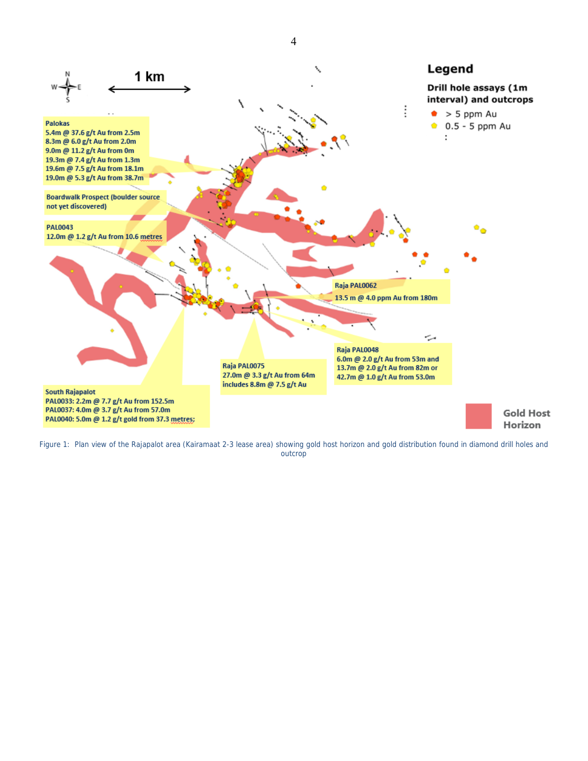

Figure 1: Plan view of the Rajapalot area (Kairamaat 2-3 lease area) showing gold host horizon and gold distribution found in diamond drill holes and outcrop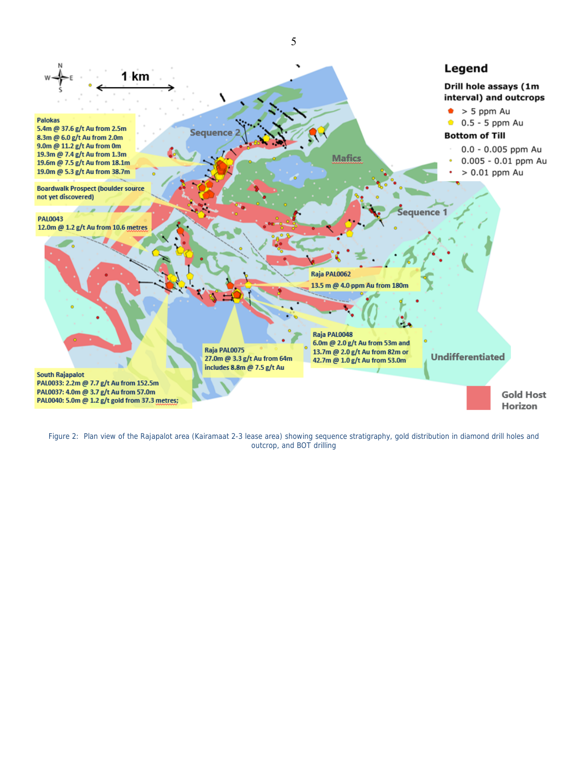

Figure 2: Plan view of the Rajapalot area (Kairamaat 2-3 lease area) showing sequence stratigraphy, gold distribution in diamond drill holes and outcrop, and BOT drilling

5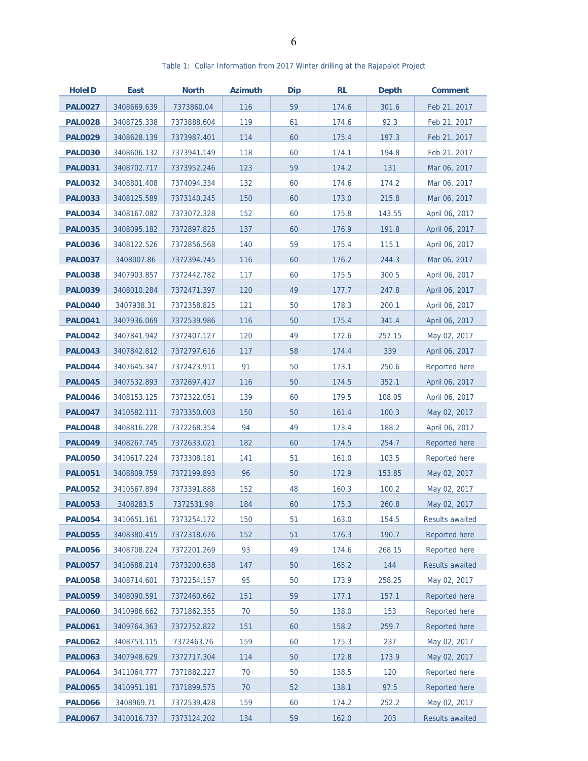| <b>HoleID</b>  | East        | <b>North</b> | <b>Azimuth</b> | <b>Dip</b> | RL    | <b>Depth</b> | <b>Comment</b>         |
|----------------|-------------|--------------|----------------|------------|-------|--------------|------------------------|
| <b>PAL0027</b> | 3408669.639 | 7373860.04   | 116            | 59         | 174.6 | 301.6        | Feb 21, 2017           |
| <b>PAL0028</b> | 3408725.338 | 7373888.604  | 119            | 61         | 174.6 | 92.3         | Feb 21, 2017           |
| <b>PAL0029</b> | 3408628.139 | 7373987.401  | 114            | 60         | 175.4 | 197.3        | Feb 21, 2017           |
| <b>PAL0030</b> | 3408606.132 | 7373941.149  | 118            | 60         | 174.1 | 194.8        | Feb 21, 2017           |
| <b>PAL0031</b> | 3408702.717 | 7373952.246  | 123            | 59         | 174.2 | 131          | Mar 06, 2017           |
| <b>PAL0032</b> | 3408801.408 | 7374094.334  | 132            | 60         | 174.6 | 174.2        | Mar 06, 2017           |
| <b>PAL0033</b> | 3408125.589 | 7373140.245  | 150            | 60         | 173.0 | 215.8        | Mar 06, 2017           |
| <b>PAL0034</b> | 3408167.082 | 7373072.328  | 152            | 60         | 175.8 | 143.55       | April 06, 2017         |
| <b>PAL0035</b> | 3408095.182 | 7372897.825  | 137            | 60         | 176.9 | 191.8        | April 06, 2017         |
| <b>PAL0036</b> | 3408122.526 | 7372856.568  | 140            | 59         | 175.4 | 115.1        | April 06, 2017         |
| <b>PAL0037</b> | 3408007.86  | 7372394.745  | 116            | 60         | 176.2 | 244.3        | Mar 06, 2017           |
| <b>PAL0038</b> | 3407903.857 | 7372442.782  | 117            | 60         | 175.5 | 300.5        | April 06, 2017         |
| <b>PAL0039</b> | 3408010.284 | 7372471.397  | 120            | 49         | 177.7 | 247.8        | April 06, 2017         |
| <b>PAL0040</b> | 3407938.31  | 7372358.825  | 121            | 50         | 178.3 | 200.1        | April 06, 2017         |
| <b>PAL0041</b> | 3407936.069 | 7372539.986  | 116            | 50         | 175.4 | 341.4        | April 06, 2017         |
| <b>PAL0042</b> | 3407841.942 | 7372407.127  | 120            | 49         | 172.6 | 257.15       | May 02, 2017           |
| <b>PAL0043</b> | 3407842.812 | 7372797.616  | 117            | 58         | 174.4 | 339          | April 06, 2017         |
| <b>PAL0044</b> | 3407645.347 | 7372423.911  | 91             | 50         | 173.1 | 250.6        | Reported here          |
| <b>PAL0045</b> | 3407532.893 | 7372697.417  | 116            | 50         | 174.5 | 352.1        | April 06, 2017         |
| <b>PAL0046</b> | 3408153.125 | 7372322.051  | 139            | 60         | 179.5 | 108.05       | April 06, 2017         |
| <b>PAL0047</b> | 3410582.111 | 7373350.003  | 150            | 50         | 161.4 | 100.3        | May 02, 2017           |
| <b>PAL0048</b> | 3408816.228 | 7372268.354  | 94             | 49         | 173.4 | 188.2        | April 06, 2017         |
| <b>PAL0049</b> | 3408267.745 | 7372633.021  | 182            | 60         | 174.5 | 254.7        | <b>Reported here</b>   |
| <b>PAL0050</b> | 3410617.224 | 7373308.181  | 141            | 51         | 161.0 | 103.5        | Reported here          |
| <b>PAL0051</b> | 3408809.759 | 7372199.893  | 96             | 50         | 172.9 | 153.85       | May 02, 2017           |
| <b>PAL0052</b> | 3410567.894 | 7373391.888  | 152            | 48         | 160.3 | 100.2        | May 02, 2017           |
| <b>PAL0053</b> | 3408283.5   | 7372531.98   | 184            | 60         | 175.3 | 260.8        | May 02, 2017           |
| <b>PAL0054</b> | 3410651.161 | 7373254.172  | 150            | 51         | 163.0 | 154.5        | <b>Results awaited</b> |
| <b>PAL0055</b> | 3408380.415 | 7372318.676  | 152            | 51         | 176.3 | 190.7        | Reported here          |
| <b>PAL0056</b> | 3408708.224 | 7372201.269  | 93             | 49         | 174.6 | 268.15       | Reported here          |
| <b>PAL0057</b> | 3410688.214 | 7373200.638  | 147            | 50         | 165.2 | 144          | <b>Results awaited</b> |
| <b>PAL0058</b> | 3408714.601 | 7372254.157  | 95             | 50         | 173.9 | 258.25       | May 02, 2017           |
| <b>PAL0059</b> | 3408090.591 | 7372460.662  | 151            | 59         | 177.1 | 157.1        | Reported here          |
| <b>PAL0060</b> | 3410986.662 | 7371862.355  | 70             | 50         | 138.0 | 153          | Reported here          |
| <b>PAL0061</b> | 3409764.363 | 7372752.822  | 151            | 60         | 158.2 | 259.7        | Reported here          |
| <b>PAL0062</b> | 3408753.115 | 7372463.76   | 159            | 60         | 175.3 | 237          | May 02, 2017           |
| <b>PAL0063</b> | 3407948.629 | 7372717.304  | 114            | 50         | 172.8 | 173.9        | May 02, 2017           |
| <b>PAL0064</b> | 3411064.777 | 7371882.227  | 70             | 50         | 138.5 | 120          | Reported here          |
| <b>PAL0065</b> | 3410951.181 | 7371899.575  | 70             | 52         | 138.1 | 97.5         | Reported here          |
| <b>PAL0066</b> | 3408969.71  | 7372539.428  | 159            | 60         | 174.2 | 252.2        | May 02, 2017           |
| <b>PAL0067</b> | 3410016.737 | 7373124.202  | 134            | 59         | 162.0 | 203          | Results awaited        |

Table 1: Collar Information from 2017 Winter drilling at the Rajapalot Project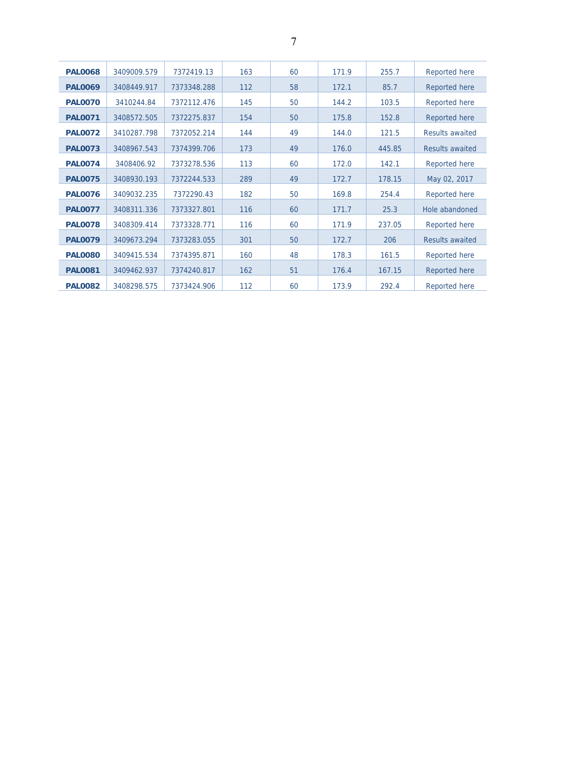| <b>PAL0068</b> | 3409009.579 | 7372419.13  | 163 | 60 | 171.9 | 255.7  | Reported here          |
|----------------|-------------|-------------|-----|----|-------|--------|------------------------|
| <b>PAL0069</b> | 3408449.917 | 7373348.288 | 112 | 58 | 172.1 | 85.7   | Reported here          |
| <b>PAL0070</b> | 3410244.84  | 7372112.476 | 145 | 50 | 144.2 | 103.5  | Reported here          |
| <b>PAL0071</b> | 3408572.505 | 7372275.837 | 154 | 50 | 175.8 | 152.8  | Reported here          |
| <b>PAL0072</b> | 3410287.798 | 7372052.214 | 144 | 49 | 144.0 | 121.5  | Results awaited        |
| <b>PAL0073</b> | 3408967.543 | 7374399.706 | 173 | 49 | 176.0 | 445.85 | <b>Results awaited</b> |
| <b>PAL0074</b> | 3408406.92  | 7373278.536 | 113 | 60 | 172.0 | 142.1  | Reported here          |
| <b>PAL0075</b> | 3408930.193 | 7372244.533 | 289 | 49 | 172.7 | 178.15 | May 02, 2017           |
| <b>PAL0076</b> | 3409032.235 | 7372290.43  | 182 | 50 | 169.8 | 254.4  | Reported here          |
| <b>PAL0077</b> | 3408311.336 | 7373327.801 | 116 | 60 | 171.7 | 25.3   | Hole abandoned         |
| <b>PAL0078</b> | 3408309.414 | 7373328.771 | 116 | 60 | 171.9 | 237.05 | Reported here          |
| <b>PAL0079</b> | 3409673.294 | 7373283.055 | 301 | 50 | 172.7 | 206    | <b>Results awaited</b> |
| <b>PAL0080</b> | 3409415.534 | 7374395.871 | 160 | 48 | 178.3 | 161.5  | Reported here          |
| <b>PAL0081</b> | 3409462.937 | 7374240.817 | 162 | 51 | 176.4 | 167.15 | Reported here          |
| <b>PAL0082</b> | 3408298.575 | 7373424.906 | 112 | 60 | 173.9 | 292.4  | Reported here          |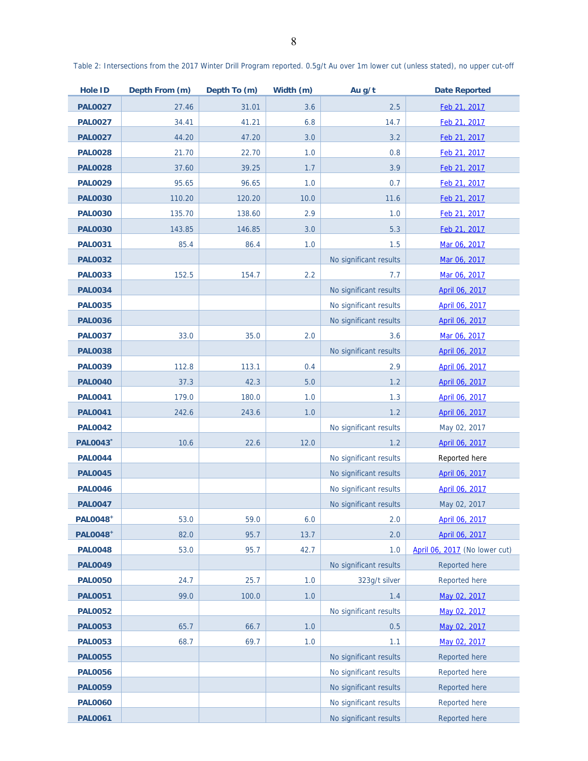| <b>Hole ID</b>              | Depth From (m) | Depth To (m) | Width (m) | Au g/t                 | <b>Date Reported</b>          |
|-----------------------------|----------------|--------------|-----------|------------------------|-------------------------------|
| <b>PAL0027</b>              | 27.46          | 31.01        | 3.6       | 2.5                    | Feb 21, 2017                  |
| <b>PAL0027</b>              | 34.41          | 41.21        | 6.8       | 14.7                   | Feb 21, 2017                  |
| <b>PAL0027</b>              | 44.20          | 47.20        | 3.0       | 3.2                    | Feb 21, 2017                  |
| <b>PAL0028</b>              | 21.70          | 22.70        | 1.0       | 0.8                    | Feb 21, 2017                  |
| <b>PAL0028</b>              | 37.60          | 39.25        | 1.7       | 3.9                    | Feb 21, 2017                  |
| <b>PAL0029</b>              | 95.65          | 96.65        | 1.0       | 0.7                    | Feb 21, 2017                  |
| <b>PAL0030</b>              | 110.20         | 120.20       | 10.0      | 11.6                   | Feb 21, 2017                  |
| <b>PAL0030</b>              | 135.70         | 138.60       | 2.9       | 1.0                    | Feb 21, 2017                  |
| <b>PAL0030</b>              | 143.85         | 146.85       | 3.0       | 5.3                    | Feb 21, 2017                  |
| <b>PAL0031</b>              | 85.4           | 86.4         | 1.0       | 1.5                    | Mar 06, 2017                  |
| <b>PAL0032</b>              |                |              |           | No significant results | Mar 06, 2017                  |
| <b>PAL0033</b>              | 152.5          | 154.7        | 2.2       | 7.7                    | Mar 06, 2017                  |
| <b>PAL0034</b>              |                |              |           | No significant results | April 06, 2017                |
| <b>PAL0035</b>              |                |              |           | No significant results | April 06, 2017                |
| <b>PAL0036</b>              |                |              |           | No significant results | April 06, 2017                |
| <b>PAL0037</b>              | 33.0           | 35.0         | 2.0       | 3.6                    | Mar 06, 2017                  |
| <b>PAL0038</b>              |                |              |           | No significant results | April 06, 2017                |
| <b>PAL0039</b>              | 112.8          | 113.1        | 0.4       | 2.9                    | April 06, 2017                |
| <b>PAL0040</b>              | 37.3           | 42.3         | 5.0       | 1.2                    | April 06, 2017                |
| <b>PAL0041</b>              | 179.0          | 180.0        | 1.0       | 1.3                    | April 06, 2017                |
| <b>PAL0041</b>              | 242.6          | 243.6        | 1.0       | 1.2                    | April 06, 2017                |
| <b>PAL0042</b>              |                |              |           | No significant results | May 02, 2017                  |
| <b>PAL0043</b> *            | 10.6           | 22.6         | 12.0      | 1.2                    | April 06, 2017                |
| <b>PAL0044</b>              |                |              |           | No significant results | Reported here                 |
| <b>PAL0045</b>              |                |              |           | No significant results | April 06, 2017                |
| <b>PAL0046</b>              |                |              |           | No significant results | April 06, 2017                |
| <b>PAL0047</b>              |                |              |           | No significant results | May 02, 2017                  |
| <b>PAL0048<sup>+</sup></b>  | 53.0           | 59.0         | 6.0       | 2.0                    | April 06, 2017                |
| <b>PAL0048</b> <sup>+</sup> | 82.0           | 95.7         | 13.7      | 2.0                    | April 06, 2017                |
| <b>PAL0048</b>              | 53.0           | 95.7         | 42.7      | 1.0                    | April 06, 2017 (No lower cut) |
| <b>PAL0049</b>              |                |              |           | No significant results | Reported here                 |
| <b>PAL0050</b>              | 24.7           | 25.7         | 1.0       | 323g/t silver          | Reported here                 |
| <b>PAL0051</b>              | 99.0           | 100.0        | 1.0       | 1.4                    | May 02, 2017                  |
| <b>PAL0052</b>              |                |              |           | No significant results | May 02, 2017                  |
| <b>PAL0053</b>              | 65.7           | 66.7         | 1.0       | 0.5                    | May 02, 2017                  |
| <b>PAL0053</b>              | 68.7           | 69.7         | 1.0       | 1.1                    | May 02, 2017                  |
| <b>PAL0055</b>              |                |              |           | No significant results | Reported here                 |
| <b>PAL0056</b>              |                |              |           | No significant results | Reported here                 |
| <b>PAL0059</b>              |                |              |           | No significant results | Reported here                 |
| <b>PAL0060</b>              |                |              |           | No significant results | Reported here                 |
| <b>PAL0061</b>              |                |              |           | No significant results | Reported here                 |

Table 2: Intersections from the 2017 Winter Drill Program reported. 0.5g/t Au over 1m lower cut (unless stated), no upper cut-off